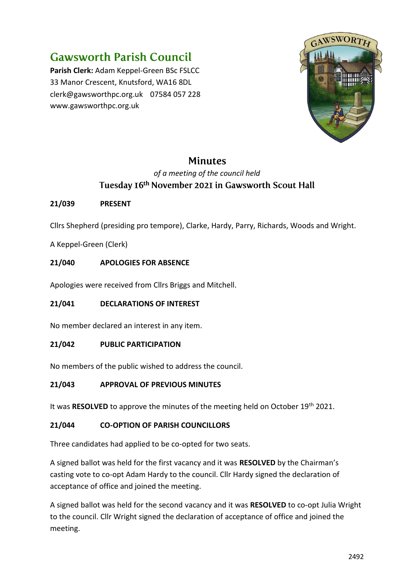# **Gawsworth Parish Council**

**Parish Clerk:** Adam Keppel-Green BSc FSLCC 33 Manor Crescent, Knutsford, WA16 8DL clerk@gawsworthpc.org.uk 07584 057 228 www.gawsworthpc.org.uk



# **Minutes**

# *of a meeting of the council held* Tuesday 16th November 2021 in Gawsworth Scout Hall

# **21/039 PRESENT**

Cllrs Shepherd (presiding pro tempore), Clarke, Hardy, Parry, Richards, Woods and Wright.

A Keppel-Green (Clerk)

# **21/040 APOLOGIES FOR ABSENCE**

Apologies were received from Cllrs Briggs and Mitchell.

# **21/041 DECLARATIONS OF INTEREST**

No member declared an interest in any item.

# **21/042 PUBLIC PARTICIPATION**

No members of the public wished to address the council.

# **21/043 APPROVAL OF PREVIOUS MINUTES**

It was RESOLVED to approve the minutes of the meeting held on October 19<sup>th</sup> 2021.

# **21/044 CO-OPTION OF PARISH COUNCILLORS**

Three candidates had applied to be co-opted for two seats.

A signed ballot was held for the first vacancy and it was **RESOLVED** by the Chairman's casting vote to co-opt Adam Hardy to the council. Cllr Hardy signed the declaration of acceptance of office and joined the meeting.

A signed ballot was held for the second vacancy and it was **RESOLVED** to co-opt Julia Wright to the council. Cllr Wright signed the declaration of acceptance of office and joined the meeting.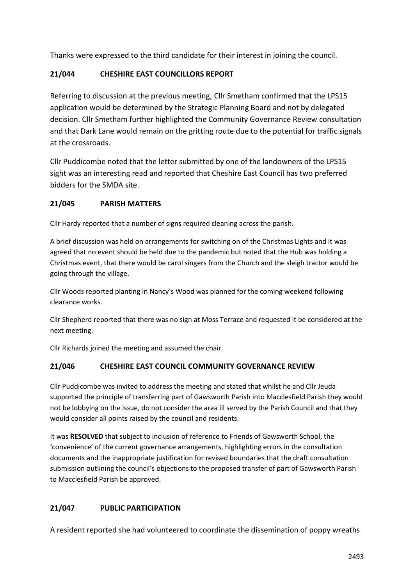Thanks were expressed to the third candidate for their interest in joining the council.

#### **21/044 CHESHIRE EAST COUNCILLORS REPORT**

Referring to discussion at the previous meeting, Cllr Smetham confirmed that the LPS15 application would be determined by the Strategic Planning Board and not by delegated decision. Cllr Smetham further highlighted the Community Governance Review consultation and that Dark Lane would remain on the gritting route due to the potential for traffic signals at the crossroads.

Cllr Puddicombe noted that the letter submitted by one of the landowners of the LPS15 sight was an interesting read and reported that Cheshire East Council has two preferred bidders for the SMDA site.

#### **21/045 PARISH MATTERS**

Cllr Hardy reported that a number of signs required cleaning across the parish.

A brief discussion was held on arrangements for switching on of the Christmas Lights and it was agreed that no event should be held due to the pandemic but noted that the Hub was holding a Christmas event, that there would be carol singers from the Church and the sleigh tractor would be going through the village.

Cllr Woods reported planting in Nancy's Wood was planned for the coming weekend following clearance works.

Cllr Shepherd reported that there was no sign at Moss Terrace and requested it be considered at the next meeting.

Cllr Richards joined the meeting and assumed the chair.

#### **21/046 CHESHIRE EAST COUNCIL COMMUNITY GOVERNANCE REVIEW**

Cllr Puddicombe was invited to address the meeting and stated that whilst he and Cllr Jeuda supported the principle of transferring part of Gawsworth Parish into Macclesfield Parish they would not be lobbying on the issue, do not consider the area ill served by the Parish Council and that they would consider all points raised by the council and residents.

It was **RESOLVED** that subject to inclusion of reference to Friends of Gawsworth School, the 'convenience' of the current governance arrangements, highlighting errors in the consultation documents and the inappropriate justification for revised boundaries that the draft consultation submission outlining the council's objections to the proposed transfer of part of Gawsworth Parish to Macclesfield Parish be approved.

# **21/047 PUBLIC PARTICIPATION**

A resident reported she had volunteered to coordinate the dissemination of poppy wreaths